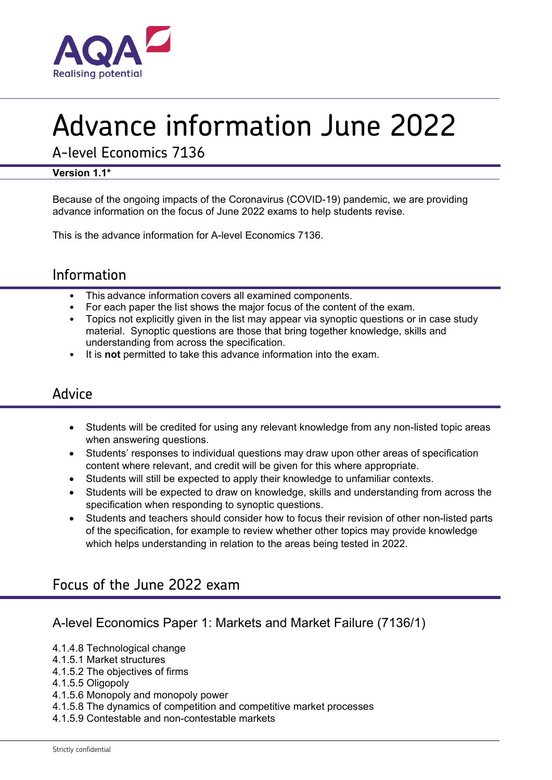

# Advance information June 2022

A-level Economics 7136

#### **Version 1.1\***

Because of the ongoing impacts of the Coronavirus (COVID-19) pandemic, we are providing advance information on the focus of June 2022 exams to help students revise.

This is the advance information for A-level Economics 7136.

## Information

- This advance information covers all examined components.
- For each paper the list shows the major focus of the content of the exam.
- Topics not explicitly given in the list may appear via synoptic questions or in case study material. Synoptic questions are those that bring together knowledge, skills and understanding from across the specification.
- It is **not** permitted to take this advance information into the exam.

### Advice

- Students will be credited for using any relevant knowledge from any non-listed topic areas when answering questions.
- Students' responses to individual questions may draw upon other areas of specification content where relevant, and credit will be given for this where appropriate.
- Students will still be expected to apply their knowledge to unfamiliar contexts.
- Students will be expected to draw on knowledge, skills and understanding from across the specification when responding to synoptic questions.
- Students and teachers should consider how to focus their revision of other non-listed parts of the specification, for example to review whether other topics may provide knowledge which helps understanding in relation to the areas being tested in 2022.

## Focus of the June 2022 exam

### A-level Economics Paper 1: Markets and Market Failure (7136/1)

- 4.1.4.8 Technological change
- 4.1.5.1 Market structures
- 4.1.5.2 The objectives of firms
- 4.1.5.5 Oligopoly
- 4.1.5.6 Monopoly and monopoly power
- 4.1.5.8 The dynamics of competition and competitive market processes
- 4.1.5.9 Contestable and non-contestable markets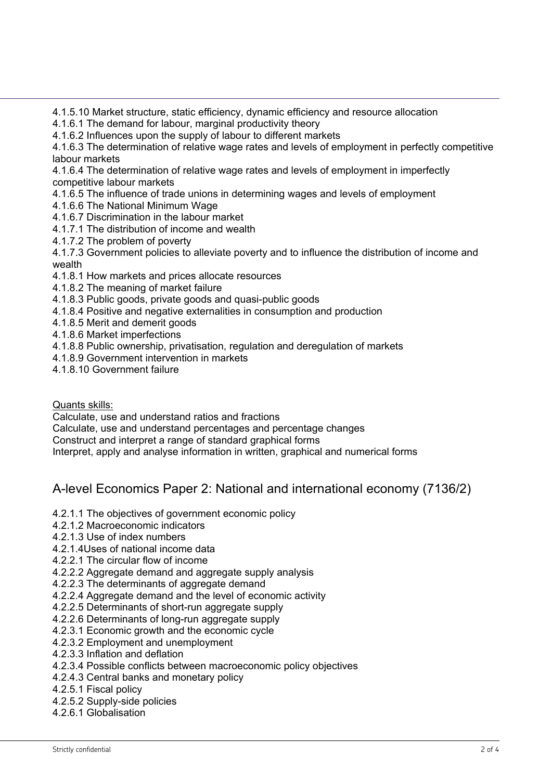4.1.5.10 Market structure, static efficiency, dynamic efficiency and resource allocation

4.1.6.1 The demand for labour, marginal productivity theory

4.1.6.2 Influences upon the supply of labour to different markets

4.1.6.3 The determination of relative wage rates and levels of employment in perfectly competitive labour markets

4.1.6.4 The determination of relative wage rates and levels of employment in imperfectly competitive labour markets

4.1.6.5 The influence of trade unions in determining wages and levels of employment

- 4.1.6.6 The National Minimum Wage
- 4.1.6.7 Discrimination in the labour market
- 4.1.7.1 The distribution of income and wealth
- 4.1.7.2 The problem of poverty

4.1.7.3 Government policies to alleviate poverty and to influence the distribution of income and wealth

- 4.1.8.1 How markets and prices allocate resources
- 4.1.8.2 The meaning of market failure
- 4.1.8.3 Public goods, private goods and quasi-public goods
- 4.1.8.4 Positive and negative externalities in consumption and production
- 4.1.8.5 Merit and demerit goods
- 4.1.8.6 Market imperfections
- 4.1.8.8 Public ownership, privatisation, regulation and deregulation of markets
- 4.1.8.9 Government intervention in markets
- 4.1.8.10 Government failure

Quants skills:

Calculate, use and understand ratios and fractions

Calculate, use and understand percentages and percentage changes

Construct and interpret a range of standard graphical forms

Interpret, apply and analyse information in written, graphical and numerical forms

#### A-level Economics Paper 2: National and international economy (7136/2)

- 4.2.1.1 The objectives of government economic policy
- 4.2.1.2 Macroeconomic indicators
- 4.2.1.3 Use of index numbers
- 4.2.1.4Uses of national income data
- 4.2.2.1 The circular flow of income
- 4.2.2.2 Aggregate demand and aggregate supply analysis
- 4.2.2.3 The determinants of aggregate demand
- 4.2.2.4 Aggregate demand and the level of economic activity
- 4.2.2.5 Determinants of short-run aggregate supply
- 4.2.2.6 Determinants of long-run aggregate supply
- 4.2.3.1 Economic growth and the economic cycle
- 4.2.3.2 Employment and unemployment
- 4.2.3.3 Inflation and deflation
- 4.2.3.4 Possible conflicts between macroeconomic policy objectives
- 4.2.4.3 Central banks and monetary policy
- 4.2.5.1 Fiscal policy
- 4.2.5.2 Supply-side policies
- 4.2.6.1 Globalisation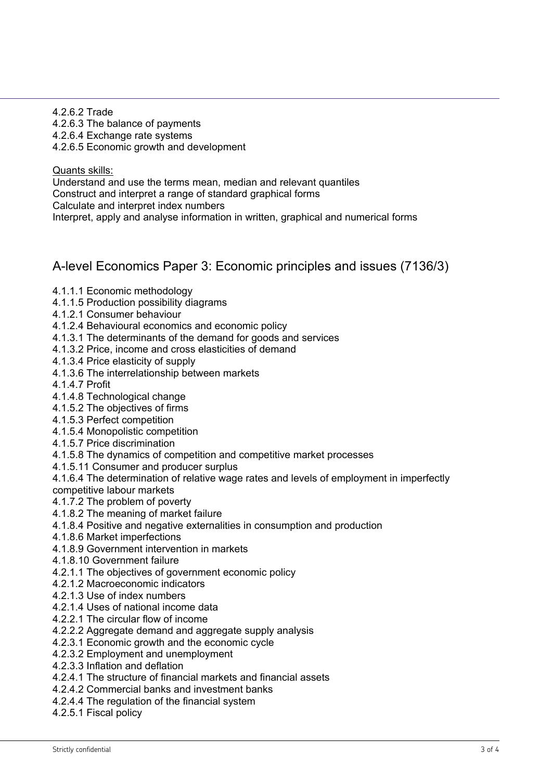4.2.6.2 Trade 4.2.6.3 The balance of payments 4.2.6.4 Exchange rate systems 4.2.6.5 Economic growth and development

Quants skills: Understand and use the terms mean, median and relevant quantiles Construct and interpret a range of standard graphical forms Calculate and interpret index numbers Interpret, apply and analyse information in written, graphical and numerical forms

A-level Economics Paper 3: Economic principles and issues (7136/3)

- 4.1.1.1 Economic methodology
- 4.1.1.5 Production possibility diagrams
- 4.1.2.1 Consumer behaviour
- 4.1.2.4 Behavioural economics and economic policy
- 4.1.3.1 The determinants of the demand for goods and services
- 4.1.3.2 Price, income and cross elasticities of demand
- 4.1.3.4 Price elasticity of supply
- 4.1.3.6 The interrelationship between markets
- 4.1.4.7 Profit
- 4.1.4.8 Technological change
- 4.1.5.2 The objectives of firms
- 4.1.5.3 Perfect competition
- 4.1.5.4 Monopolistic competition
- 4.1.5.7 Price discrimination
- 4.1.5.8 The dynamics of competition and competitive market processes
- 4.1.5.11 Consumer and producer surplus
- 4.1.6.4 The determination of relative wage rates and levels of employment in imperfectly competitive labour markets
- 4.1.7.2 The problem of poverty
- 4.1.8.2 The meaning of market failure
- 4.1.8.4 Positive and negative externalities in consumption and production
- 4.1.8.6 Market imperfections
- 4.1.8.9 Government intervention in markets
- 4.1.8.10 Government failure
- 4.2.1.1 The objectives of government economic policy
- 4.2.1.2 Macroeconomic indicators
- 4.2.1.3 Use of index numbers
- 4.2.1.4 Uses of national income data
- 4.2.2.1 The circular flow of income
- 4.2.2.2 Aggregate demand and aggregate supply analysis
- 4.2.3.1 Economic growth and the economic cycle
- 4.2.3.2 Employment and unemployment
- 4.2.3.3 Inflation and deflation
- 4.2.4.1 The structure of financial markets and financial assets
- 4.2.4.2 Commercial banks and investment banks
- 4.2.4.4 The regulation of the financial system
- 4.2.5.1 Fiscal policy